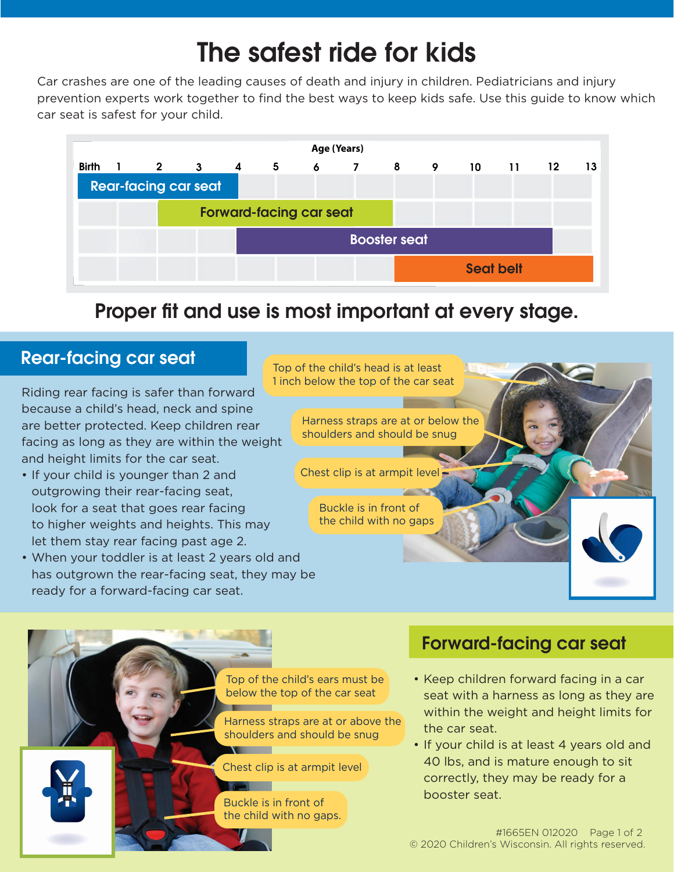# The safest ride for kids

Car crashes are one of the leading causes of death and injury in children. Pediatricians and injury prevention experts work together to find the best ways to keep kids safe. Use this guide to know which car seat is safest for your child.



## Proper fit and use is most important at every stage.



### Rear-facing car seat

Riding rear facing is safer than forward because a child's head, neck and spine are better protected. Keep children rear facing as long as they are within the weight and height limits for the car seat.

- If your child is younger than 2 and outgrowing their rear-facing seat, look for a seat that goes rear facing to higher weights and heights. This may let them stay rear facing past age 2.
- When your toddler is at least 2 years old and has outgrown the rear-facing seat, they may be ready for a forward-facing car seat.

Top of the child's ears must be below the top of the car seat

Harness straps are at or above the shoulders and should be snug

Chest clip is at armpit level **Basic Communication** 

Buckle is in front of the child with no gaps.

#### Forward-facing car seat

- Keep children forward facing in a car seat with a harness as long as they are within the weight and height limits for the car seat.
- If your child is at least 4 years old and 40 lbs, and is mature enough to sit correctly, they may be ready for a booster seat.

#1665EN 012020 Page 1 of 2 © 2020 Children's Wisconsin. All rights reserved.